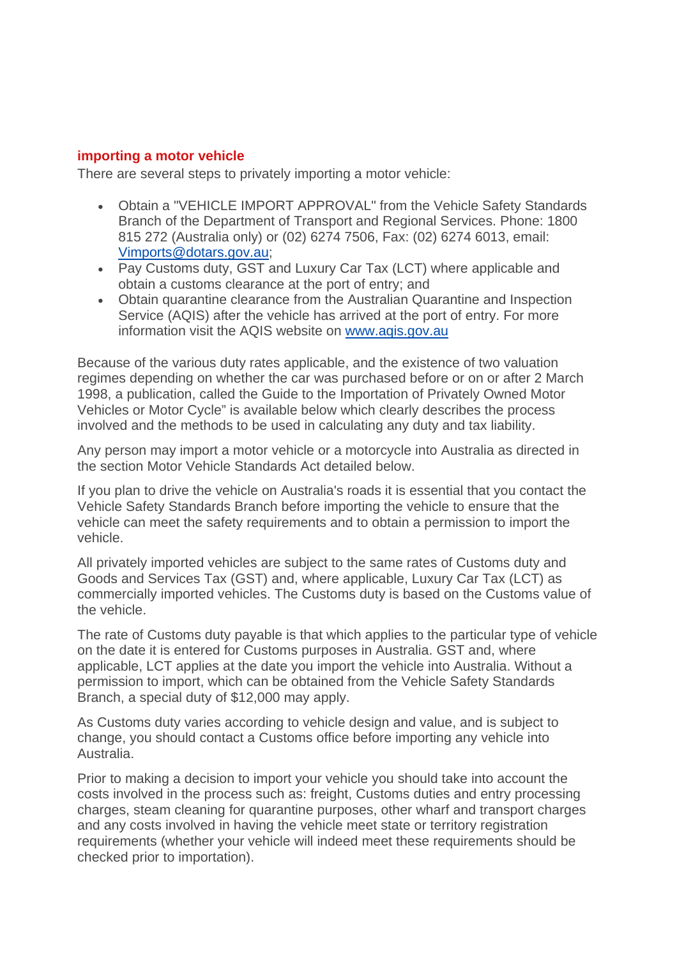#### **importing a motor vehicle**

There are several steps to privately importing a motor vehicle:

- Obtain a "VEHICLE IMPORT APPROVAL" from the Vehicle Safety Standards Branch of the Department of Transport and Regional Services. Phone: 1800 815 272 (Australia only) or (02) 6274 7506, Fax: (02) 6274 6013, email: [Vimports@dotars.gov.au](mailto:Vimports@dotars.gov.au);
- Pay Customs duty, GST and Luxury Car Tax (LCT) where applicable and obtain a customs clearance at the port of entry; and
- Obtain quarantine clearance from the Australian Quarantine and Inspection Service (AQIS) after the vehicle has arrived at the port of entry. For more information visit the AQIS website on www.aqis.gov.au

Because of the various duty rates applicable, and the existence of two valuation regimes depending on whether the car was purchased before or on or after 2 March 1998, a publication, called the Guide to the Importation of Privately Owned Motor Vehicles or Motor Cycle" is available below which clearly describes the process involved and the methods to be used in calculating any duty and tax liability.

Any person may import a motor vehicle or a motorcycle into Australia as directed in the section Motor Vehicle Standards Act detailed below.

If you plan to drive the vehicle on Australia's roads it is essential that you contact the Vehicle Safety Standards Branch before importing the vehicle to ensure that the vehicle can meet the safety requirements and to obtain a permission to import the vehicle.

All privately imported vehicles are subject to the same rates of Customs duty and Goods and Services Tax (GST) and, where applicable, Luxury Car Tax (LCT) as commercially imported vehicles. The Customs duty is based on the Customs value of the vehicle.

The rate of Customs duty payable is that which applies to the particular type of vehicle on the date it is entered for Customs purposes in Australia. GST and, where applicable, LCT applies at the date you import the vehicle into Australia. Without a permission to import, which can be obtained from the Vehicle Safety Standards Branch, a special duty of \$12,000 may apply.

As Customs duty varies according to vehicle design and value, and is subject to change, you should contact a Customs office before importing any vehicle into Australia.

Prior to making a decision to import your vehicle you should take into account the costs involved in the process such as: freight, Customs duties and entry processing charges, steam cleaning for quarantine purposes, other wharf and transport charges and any costs involved in having the vehicle meet state or territory registration requirements (whether your vehicle will indeed meet these requirements should be checked prior to importation).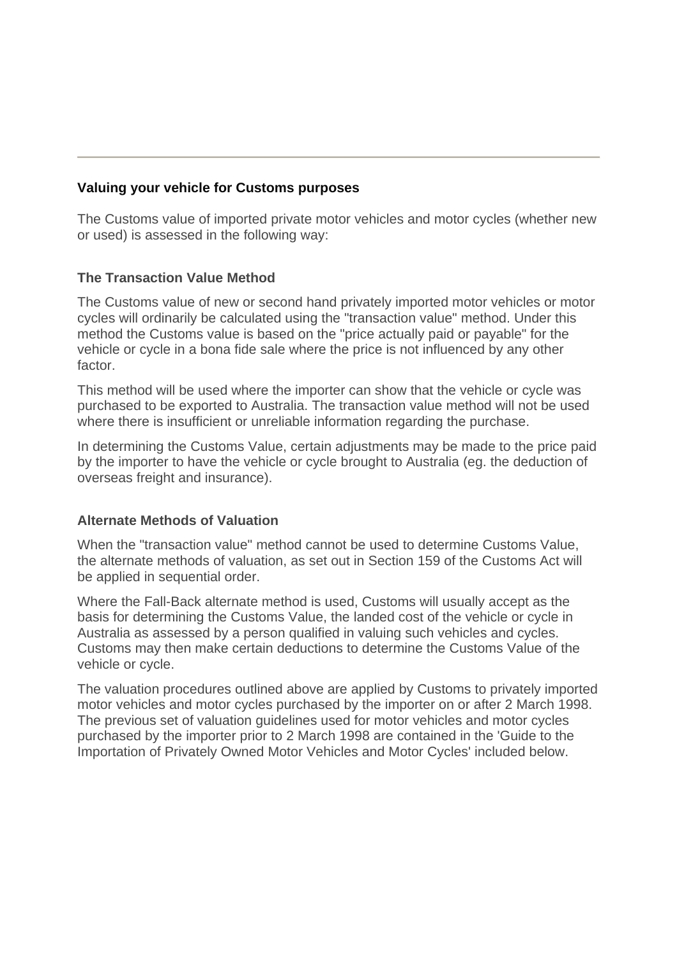# **Valuing your vehicle for Customs purposes**

The Customs value of imported private motor vehicles and motor cycles (whether new or used) is assessed in the following way:

## **The Transaction Value Method**

The Customs value of new or second hand privately imported motor vehicles or motor cycles will ordinarily be calculated using the "transaction value" method. Under this method the Customs value is based on the "price actually paid or payable" for the vehicle or cycle in a bona fide sale where the price is not influenced by any other factor.

This method will be used where the importer can show that the vehicle or cycle was purchased to be exported to Australia. The transaction value method will not be used where there is insufficient or unreliable information regarding the purchase.

In determining the Customs Value, certain adjustments may be made to the price paid by the importer to have the vehicle or cycle brought to Australia (eg. the deduction of overseas freight and insurance).

### **Alternate Methods of Valuation**

When the "transaction value" method cannot be used to determine Customs Value, the alternate methods of valuation, as set out in Section 159 of the Customs Act will be applied in sequential order.

Where the Fall-Back alternate method is used, Customs will usually accept as the basis for determining the Customs Value, the landed cost of the vehicle or cycle in Australia as assessed by a person qualified in valuing such vehicles and cycles. Customs may then make certain deductions to determine the Customs Value of the vehicle or cycle.

The valuation procedures outlined above are applied by Customs to privately imported motor vehicles and motor cycles purchased by the importer on or after 2 March 1998. The previous set of valuation guidelines used for motor vehicles and motor cycles purchased by the importer prior to 2 March 1998 are contained in the 'Guide to the Importation of Privately Owned Motor Vehicles and Motor Cycles' included below.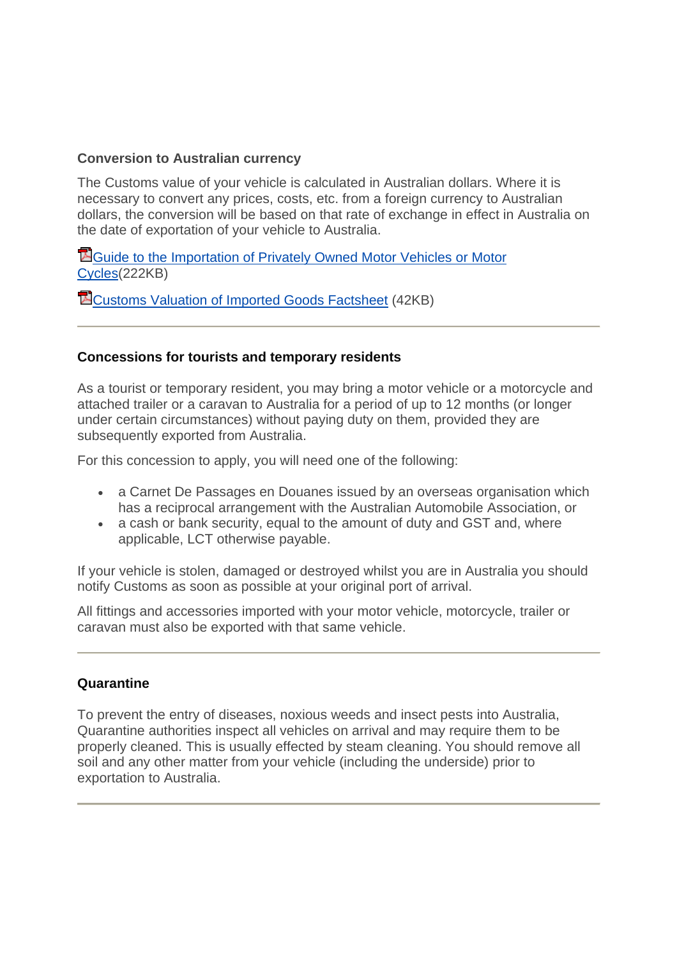# **Conversion to Australian currency**

The Customs value of your vehicle is calculated in Australian dollars. Where it is necessary to convert any prices, costs, etc. from a foreign currency to Australian dollars, the conversion will be based on that rate of exchange in effect in Australia on the date of exportation of your vehicle to Australia.

[Guide to the Importation of Privately Owned Motor Vehicles or Motor](http://www.customs.gov.au/resources/Files/Mvguide3.pdf)  [Cycles\(](http://www.customs.gov.au/resources/Files/Mvguide3.pdf)222KB)

[Customs Valuation of Imported Goods Factsheet](http://www.customs.gov.au/resources/Files/commer02.pdf) (42KB)

## **Concessions for tourists and temporary residents**

As a tourist or temporary resident, you may bring a motor vehicle or a motorcycle and attached trailer or a caravan to Australia for a period of up to 12 months (or longer under certain circumstances) without paying duty on them, provided they are subsequently exported from Australia.

For this concession to apply, you will need one of the following:

- a Carnet De Passages en Douanes issued by an overseas organisation which has a reciprocal arrangement with the Australian Automobile Association, or
- a cash or bank security, equal to the amount of duty and GST and, where applicable, LCT otherwise payable.

If your vehicle is stolen, damaged or destroyed whilst you are in Australia you should notify Customs as soon as possible at your original port of arrival.

All fittings and accessories imported with your motor vehicle, motorcycle, trailer or caravan must also be exported with that same vehicle.

### **Quarantine**

To prevent the entry of diseases, noxious weeds and insect pests into Australia, Quarantine authorities inspect all vehicles on arrival and may require them to be properly cleaned. This is usually effected by steam cleaning. You should remove all soil and any other matter from your vehicle (including the underside) prior to exportation to Australia.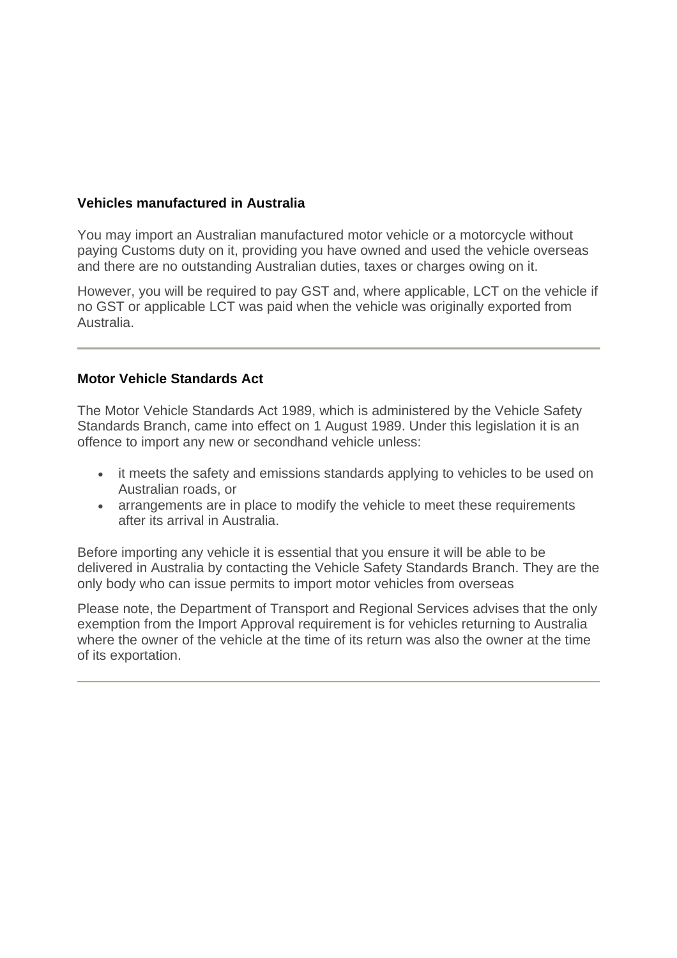# **Vehicles manufactured in Australia**

You may import an Australian manufactured motor vehicle or a motorcycle without paying Customs duty on it, providing you have owned and used the vehicle overseas and there are no outstanding Australian duties, taxes or charges owing on it.

However, you will be required to pay GST and, where applicable, LCT on the vehicle if no GST or applicable LCT was paid when the vehicle was originally exported from Australia.

### **Motor Vehicle Standards Act**

The Motor Vehicle Standards Act 1989, which is administered by the Vehicle Safety Standards Branch, came into effect on 1 August 1989. Under this legislation it is an offence to import any new or secondhand vehicle unless:

- it meets the safety and emissions standards applying to vehicles to be used on Australian roads, or
- arrangements are in place to modify the vehicle to meet these requirements after its arrival in Australia.

Before importing any vehicle it is essential that you ensure it will be able to be delivered in Australia by contacting the Vehicle Safety Standards Branch. They are the only body who can issue permits to import motor vehicles from overseas

Please note, the Department of Transport and Regional Services advises that the only exemption from the Import Approval requirement is for vehicles returning to Australia where the owner of the vehicle at the time of its return was also the owner at the time of its exportation.